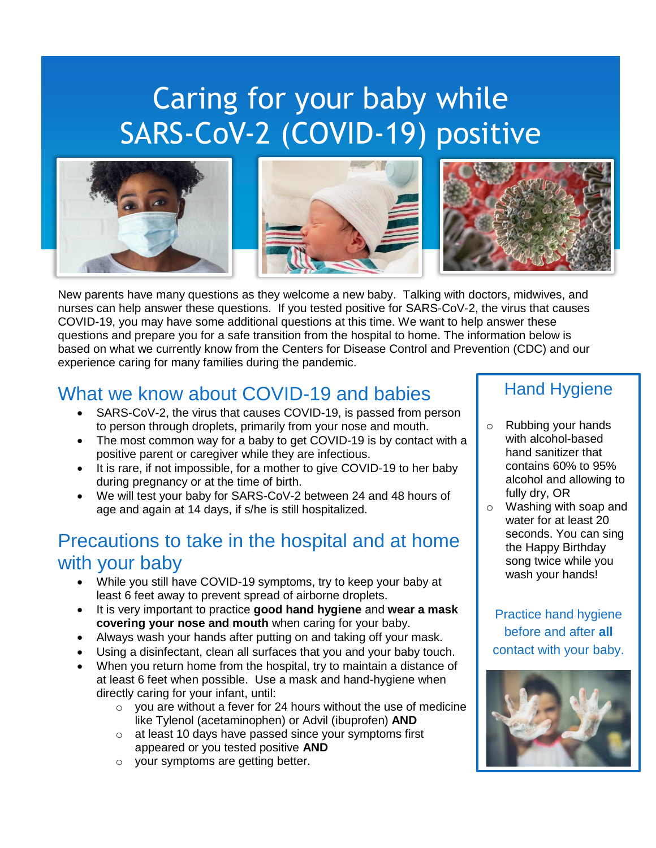# Caring for your baby while SARS-CoV-2 (COVID-19) positive







New parents have many questions as they welcome a new baby. Talking with doctors, midwives, and nurses can help answer these questions. If you tested positive for SARS-CoV-2, the virus that causes COVID-19, you may have some additional questions at this time. We want to help answer these questions and prepare you for a safe transition from the hospital to home. The information below is based on what we currently know from the Centers for Disease Control and Prevention (CDC) and our experience caring for many families during the pandemic.

## What we know about COVID-19 and babies

- SARS-CoV-2, the virus that causes COVID-19, is passed from person to person through droplets, primarily from your nose and mouth.
- The most common way for a baby to get COVID-19 is by contact with a positive parent or caregiver while they are infectious.
- It is rare, if not impossible, for a mother to give COVID-19 to her baby during pregnancy or at the time of birth.
- We will test your baby for SARS-CoV-2 between 24 and 48 hours of age and again at 14 days, if s/he is still hospitalized.

## Precautions to take in the hospital and at home with your baby

- While you still have COVID-19 symptoms, try to keep your baby at least 6 feet away to prevent spread of airborne droplets.
- It is very important to practice **good hand hygiene** and **wear a mask covering your nose and mouth** when caring for your baby.
- Always wash your hands after putting on and taking off your mask.
- Using a disinfectant, clean all surfaces that you and your baby touch.
- When you return home from the hospital, try to maintain a distance of at least 6 feet when possible. Use a mask and hand-hygiene when directly caring for your infant, until:
	- $\circ$  you are without a fever for 24 hours without the use of medicine like Tylenol (acetaminophen) or Advil (ibuprofen) **AND**
	- o at least 10 days have passed since your symptoms first appeared or you tested positive **AND**
	- o your symptoms are getting better.

#### Hand Hygiene

- o Rubbing your hands with alcohol-based hand sanitizer that contains 60% to 95% alcohol and allowing to fully dry, OR
- o Washing with soap and water for at least 20 seconds. You can sing the Happy Birthday song twice while you wash your hands!

Practice hand hygiene before and after **all** contact with your baby.